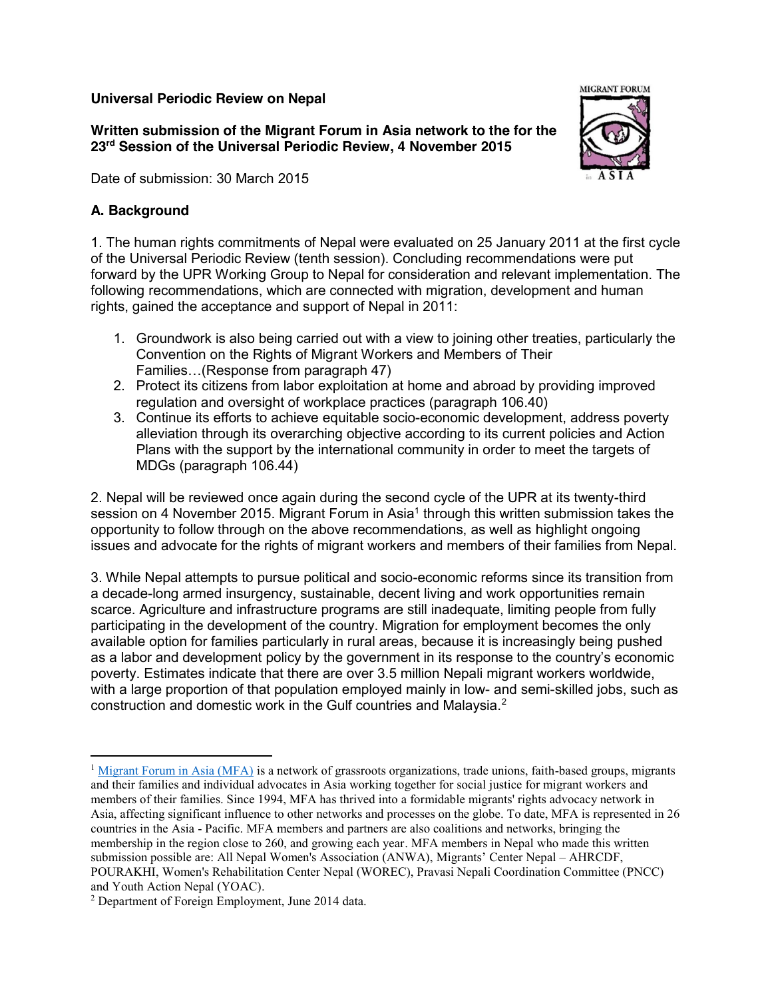### **Universal Periodic Review on Nepal**

**Written submission of the Migrant Forum in Asia network to the for the 23rd Session of the Universal Periodic Review, 4 November 2015**

Date of submission: 30 March 2015

## **A. Background**

1. The human rights commitments of Nepal were evaluated on 25 January 2011 at the first cycle of the Universal Periodic Review (tenth session). Concluding recommendations were put forward by the UPR Working Group to Nepal for consideration and relevant implementation. The following recommendations, which are connected with migration, development and human rights, gained the acceptance and support of Nepal in 2011:

- 1. Groundwork is also being carried out with a view to joining other treaties, particularly the Convention on the Rights of Migrant Workers and Members of Their Families…(Response from paragraph 47)
- 2. Protect its citizens from labor exploitation at home and abroad by providing improved regulation and oversight of workplace practices (paragraph 106.40)
- 3. Continue its efforts to achieve equitable socio-economic development, address poverty alleviation through its overarching objective according to its current policies and Action Plans with the support by the international community in order to meet the targets of MDGs (paragraph 106.44)

2. Nepal will be reviewed once again during the second cycle of the UPR at its twenty-third session on 4 November 2015. Migrant Forum in Asia<sup>1</sup> through this written submission takes the opportunity to follow through on the above recommendations, as well as highlight ongoing issues and advocate for the rights of migrant workers and members of their families from Nepal.

3. While Nepal attempts to pursue political and socio-economic reforms since its transition from a decade-long armed insurgency, sustainable, decent living and work opportunities remain scarce. Agriculture and infrastructure programs are still inadequate, limiting people from fully participating in the development of the country. Migration for employment becomes the only available option for families particularly in rural areas, because it is increasingly being pushed as a labor and development policy by the government in its response to the country's economic poverty. Estimates indicate that there are over 3.5 million Nepali migrant workers worldwide, with a large proportion of that population employed mainly in low- and semi-skilled jobs, such as construction and domestic work in the Gulf countries and Malaysia.<sup>2</sup>



 $1$  Migrant Forum in Asia (MFA) is a network of grassroots organizations, trade unions, faith-based groups, migrants and their families and individual advocates in Asia working together for social justice for migrant workers and members of their families. Since 1994, MFA has thrived into a formidable migrants' rights advocacy network in Asia, affecting significant influence to other networks and processes on the globe. To date, MFA is represented in 26 countries in the Asia - Pacific. MFA members and partners are also coalitions and networks, bringing the membership in the region close to 260, and growing each year. MFA members in Nepal who made this written submission possible are: All Nepal Women's Association (ANWA), Migrants' Center Nepal – AHRCDF, POURAKHI, Women's Rehabilitation Center Nepal (WOREC), Pravasi Nepali Coordination Committee (PNCC) and Youth Action Nepal (YOAC).

<sup>2</sup> Department of Foreign Employment, June 2014 data.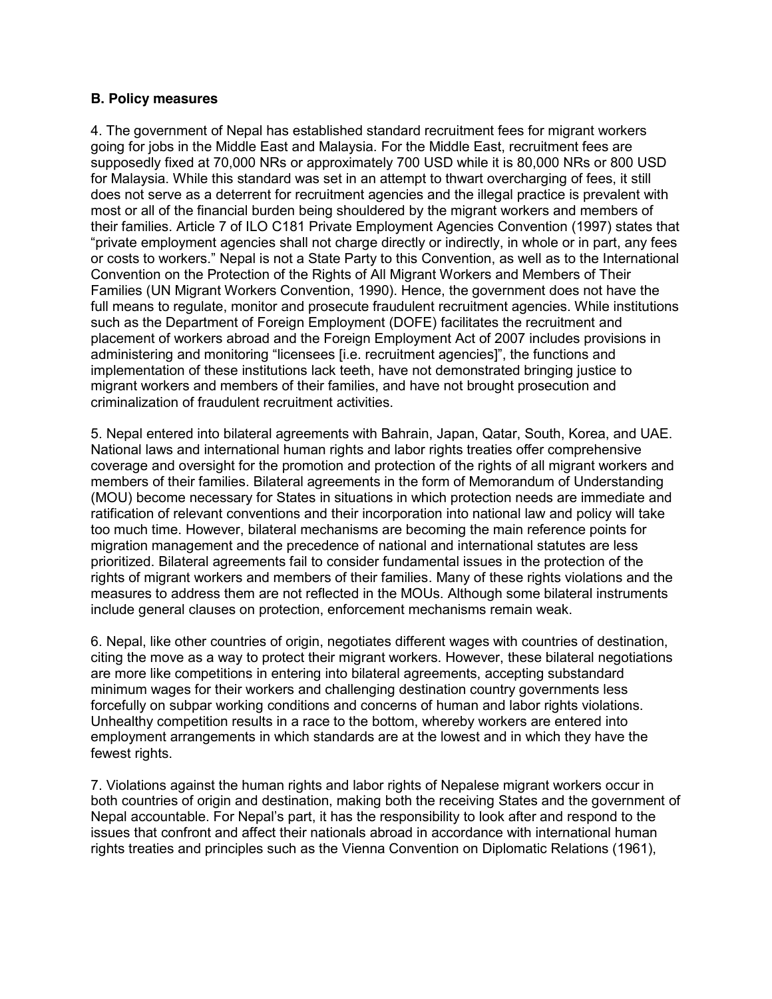### **B. Policy measures**

4. The government of Nepal has established standard recruitment fees for migrant workers going for jobs in the Middle East and Malaysia. For the Middle East, recruitment fees are supposedly fixed at 70,000 NRs or approximately 700 USD while it is 80,000 NRs or 800 USD for Malaysia. While this standard was set in an attempt to thwart overcharging of fees, it still does not serve as a deterrent for recruitment agencies and the illegal practice is prevalent with most or all of the financial burden being shouldered by the migrant workers and members of their families. Article 7 of ILO C181 Private Employment Agencies Convention (1997) states that "private employment agencies shall not charge directly or indirectly, in whole or in part, any fees or costs to workers." Nepal is not a State Party to this Convention, as well as to the International Convention on the Protection of the Rights of All Migrant Workers and Members of Their Families (UN Migrant Workers Convention, 1990). Hence, the government does not have the full means to regulate, monitor and prosecute fraudulent recruitment agencies. While institutions such as the Department of Foreign Employment (DOFE) facilitates the recruitment and placement of workers abroad and the Foreign Employment Act of 2007 includes provisions in administering and monitoring "licensees [i.e. recruitment agencies]", the functions and implementation of these institutions lack teeth, have not demonstrated bringing justice to migrant workers and members of their families, and have not brought prosecution and criminalization of fraudulent recruitment activities.

5. Nepal entered into bilateral agreements with Bahrain, Japan, Qatar, South, Korea, and UAE. National laws and international human rights and labor rights treaties offer comprehensive coverage and oversight for the promotion and protection of the rights of all migrant workers and members of their families. Bilateral agreements in the form of Memorandum of Understanding (MOU) become necessary for States in situations in which protection needs are immediate and ratification of relevant conventions and their incorporation into national law and policy will take too much time. However, bilateral mechanisms are becoming the main reference points for migration management and the precedence of national and international statutes are less prioritized. Bilateral agreements fail to consider fundamental issues in the protection of the rights of migrant workers and members of their families. Many of these rights violations and the measures to address them are not reflected in the MOUs. Although some bilateral instruments include general clauses on protection, enforcement mechanisms remain weak.

6. Nepal, like other countries of origin, negotiates different wages with countries of destination, citing the move as a way to protect their migrant workers. However, these bilateral negotiations are more like competitions in entering into bilateral agreements, accepting substandard minimum wages for their workers and challenging destination country governments less forcefully on subpar working conditions and concerns of human and labor rights violations. Unhealthy competition results in a race to the bottom, whereby workers are entered into employment arrangements in which standards are at the lowest and in which they have the fewest rights.

7. Violations against the human rights and labor rights of Nepalese migrant workers occur in both countries of origin and destination, making both the receiving States and the government of Nepal accountable. For Nepal's part, it has the responsibility to look after and respond to the issues that confront and affect their nationals abroad in accordance with international human rights treaties and principles such as the Vienna Convention on Diplomatic Relations (1961),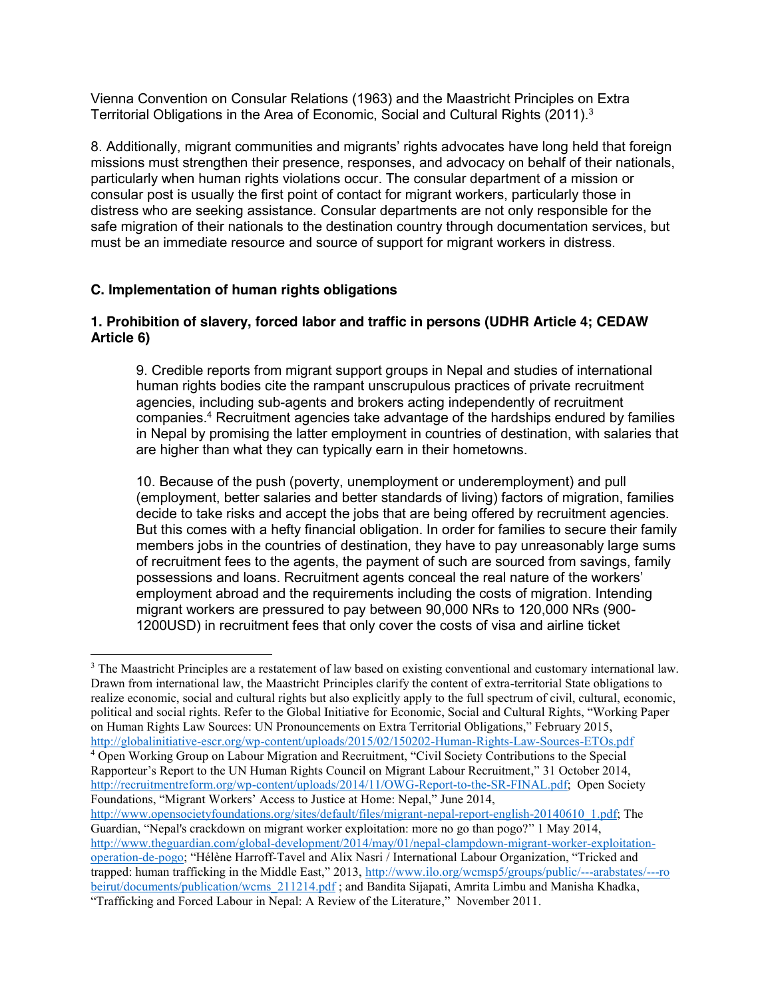Vienna Convention on Consular Relations (1963) and the Maastricht Principles on Extra Territorial Obligations in the Area of Economic, Social and Cultural Rights (2011).3

8. Additionally, migrant communities and migrants' rights advocates have long held that foreign missions must strengthen their presence, responses, and advocacy on behalf of their nationals, particularly when human rights violations occur. The consular department of a mission or consular post is usually the first point of contact for migrant workers, particularly those in distress who are seeking assistance. Consular departments are not only responsible for the safe migration of their nationals to the destination country through documentation services, but must be an immediate resource and source of support for migrant workers in distress.

### **C. Implementation of human rights obligations**

### **1. Prohibition of slavery, forced labor and traffic in persons (UDHR Article 4; CEDAW Article 6)**

9. Credible reports from migrant support groups in Nepal and studies of international human rights bodies cite the rampant unscrupulous practices of private recruitment agencies, including sub-agents and brokers acting independently of recruitment companies.4 Recruitment agencies take advantage of the hardships endured by families in Nepal by promising the latter employment in countries of destination, with salaries that are higher than what they can typically earn in their hometowns.

10. Because of the push (poverty, unemployment or underemployment) and pull (employment, better salaries and better standards of living) factors of migration, families decide to take risks and accept the jobs that are being offered by recruitment agencies. But this comes with a hefty financial obligation. In order for families to secure their family members jobs in the countries of destination, they have to pay unreasonably large sums of recruitment fees to the agents, the payment of such are sourced from savings, family possessions and loans. Recruitment agents conceal the real nature of the workers' employment abroad and the requirements including the costs of migration. Intending migrant workers are pressured to pay between 90,000 NRs to 120,000 NRs (900- 1200USD) in recruitment fees that only cover the costs of visa and airline ticket

<sup>&</sup>lt;sup>3</sup> The Maastricht Principles are a restatement of law based on existing conventional and customary international law. Drawn from international law, the Maastricht Principles clarify the content of extra-territorial State obligations to realize economic, social and cultural rights but also explicitly apply to the full spectrum of civil, cultural, economic, political and social rights. Refer to the Global Initiative for Economic, Social and Cultural Rights, "Working Paper on Human Rights Law Sources: UN Pronouncements on Extra Territorial Obligations," February 2015, http://globalinitiative-escr.org/wp-content/uploads/2015/02/150202-Human-Rights-Law-Sources-ETOs.pdf <sup>4</sup> Open Working Group on Labour Migration and Recruitment, "Civil Society Contributions to the Special Rapporteur's Report to the UN Human Rights Council on Migrant Labour Recruitment," 31 October 2014, http://recruitmentreform.org/wp-content/uploads/2014/11/OWG-Report-to-the-SR-FINAL.pdf; Open Society Foundations, "Migrant Workers' Access to Justice at Home: Nepal," June 2014, http://www.opensocietyfoundations.org/sites/default/files/migrant-nepal-report-english-20140610\_1.pdf; The Guardian, "Nepal's crackdown on migrant worker exploitation: more no go than pogo?" 1 May 2014, http://www.theguardian.com/global-development/2014/may/01/nepal-clampdown-migrant-worker-exploitationoperation-de-pogo; "Hélène Harroff-Tavel and Alix Nasri / International Labour Organization, "Tricked and trapped: human trafficking in the Middle East," 2013, http://www.ilo.org/wcmsp5/groups/public/---arabstates/---ro beirut/documents/publication/wcms\_211214.pdf; and Bandita Sijapati, Amrita Limbu and Manisha Khadka, "Trafficking and Forced Labour in Nepal: A Review of the Literature," November 2011.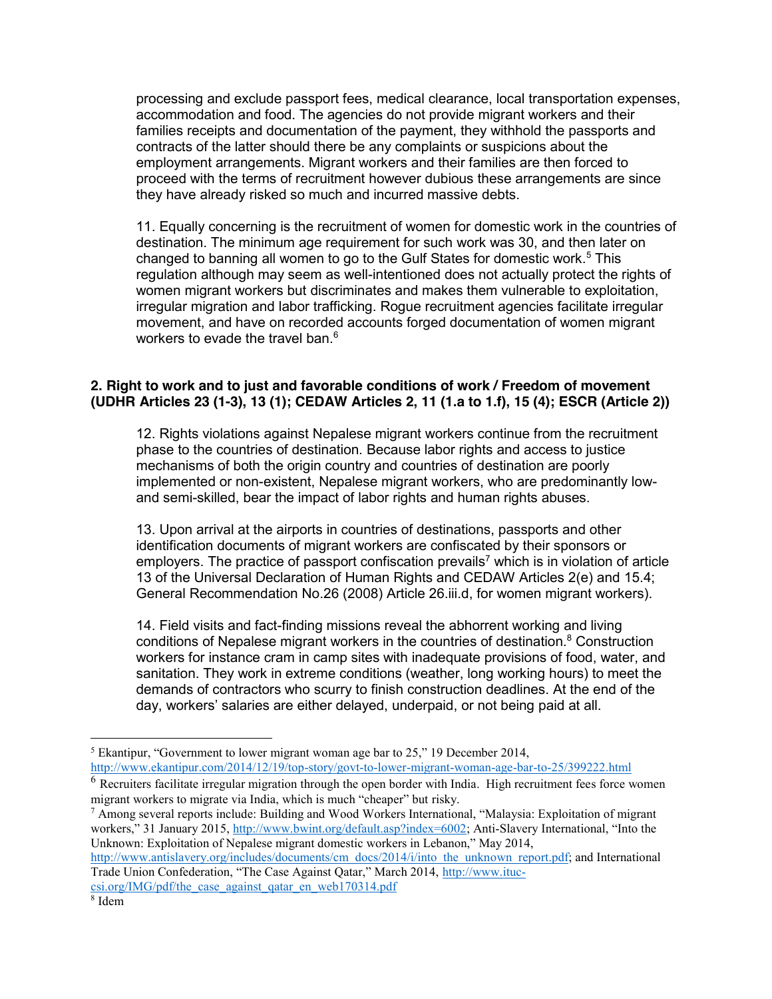processing and exclude passport fees, medical clearance, local transportation expenses, accommodation and food. The agencies do not provide migrant workers and their families receipts and documentation of the payment, they withhold the passports and contracts of the latter should there be any complaints or suspicions about the employment arrangements. Migrant workers and their families are then forced to proceed with the terms of recruitment however dubious these arrangements are since they have already risked so much and incurred massive debts.

11. Equally concerning is the recruitment of women for domestic work in the countries of destination. The minimum age requirement for such work was 30, and then later on changed to banning all women to go to the Gulf States for domestic work.<sup>5</sup> This regulation although may seem as well-intentioned does not actually protect the rights of women migrant workers but discriminates and makes them vulnerable to exploitation, irregular migration and labor trafficking. Rogue recruitment agencies facilitate irregular movement, and have on recorded accounts forged documentation of women migrant workers to evade the travel ban.<sup>6</sup>

## **2. Right to work and to just and favorable conditions of work / Freedom of movement (UDHR Articles 23 (1-3), 13 (1); CEDAW Articles 2, 11 (1.a to 1.f), 15 (4); ESCR (Article 2))**

12. Rights violations against Nepalese migrant workers continue from the recruitment phase to the countries of destination. Because labor rights and access to justice mechanisms of both the origin country and countries of destination are poorly implemented or non-existent, Nepalese migrant workers, who are predominantly lowand semi-skilled, bear the impact of labor rights and human rights abuses.

13. Upon arrival at the airports in countries of destinations, passports and other identification documents of migrant workers are confiscated by their sponsors or employers. The practice of passport confiscation prevails<sup>7</sup> which is in violation of article 13 of the Universal Declaration of Human Rights and CEDAW Articles 2(e) and 15.4; General Recommendation No.26 (2008) Article 26.iii.d, for women migrant workers).

14. Field visits and fact-finding missions reveal the abhorrent working and living conditions of Nepalese migrant workers in the countries of destination.<sup>8</sup> Construction workers for instance cram in camp sites with inadequate provisions of food, water, and sanitation. They work in extreme conditions (weather, long working hours) to meet the demands of contractors who scurry to finish construction deadlines. At the end of the day, workers' salaries are either delayed, underpaid, or not being paid at all.

http://www.ekantipur.com/2014/12/19/top-story/govt-to-lower-migrant-woman-age-bar-to-25/399222.html

http://www.antislavery.org/includes/documents/cm\_docs/2014/i/into\_the\_unknown\_report.pdf; and International Trade Union Confederation, "The Case Against Qatar," March 2014, http://www.ituccsi.org/IMG/pdf/the\_case\_against\_qatar\_en\_web170314.pdf

<sup>&</sup>lt;sup>5</sup> Ekantipur, "Government to lower migrant woman age bar to 25," 19 December 2014,

 $6$  Recruiters facilitate irregular migration through the open border with India. High recruitment fees force women migrant workers to migrate via India, which is much "cheaper" but risky.

 $^7$  Among several reports include: Building and Wood Workers International, "Malaysia: Exploitation of migrant workers," 31 January 2015, http://www.bwint.org/default.asp?index=6002; Anti-Slavery International, "Into the Unknown: Exploitation of Nepalese migrant domestic workers in Lebanon," May 2014,

<sup>8</sup> Idem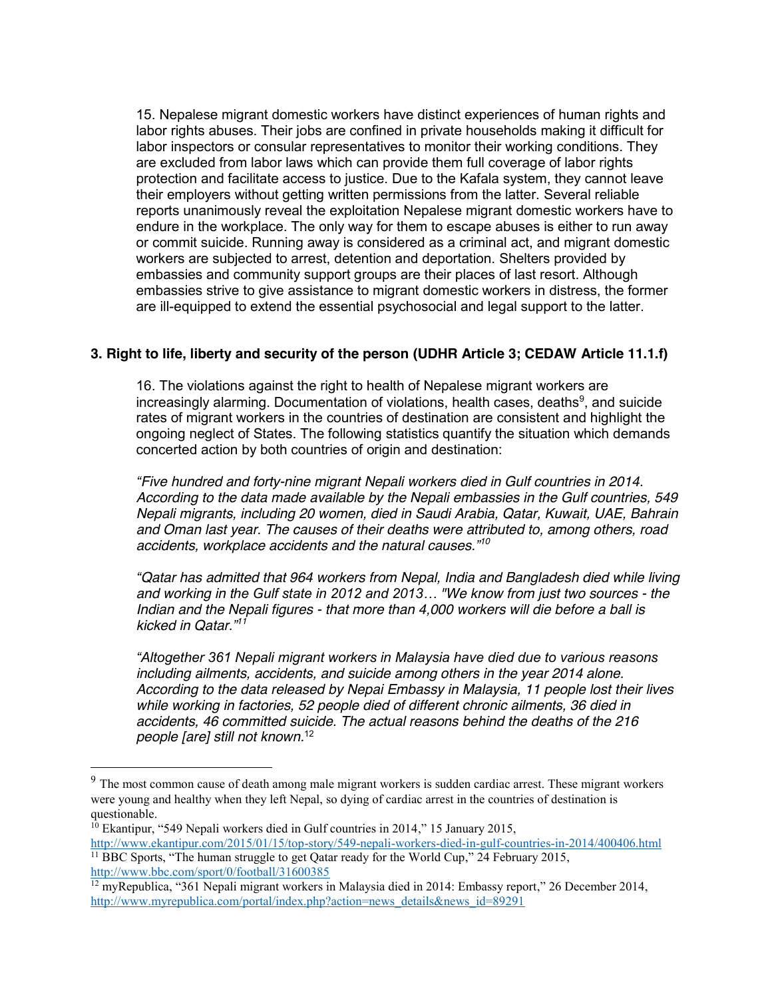15. Nepalese migrant domestic workers have distinct experiences of human rights and labor rights abuses. Their jobs are confined in private households making it difficult for labor inspectors or consular representatives to monitor their working conditions. They are excluded from labor laws which can provide them full coverage of labor rights protection and facilitate access to justice. Due to the Kafala system, they cannot leave their employers without getting written permissions from the latter. Several reliable reports unanimously reveal the exploitation Nepalese migrant domestic workers have to endure in the workplace. The only way for them to escape abuses is either to run away or commit suicide. Running away is considered as a criminal act, and migrant domestic workers are subjected to arrest, detention and deportation. Shelters provided by embassies and community support groups are their places of last resort. Although embassies strive to give assistance to migrant domestic workers in distress, the former are ill-equipped to extend the essential psychosocial and legal support to the latter.

## **3. Right to life, liberty and security of the person (UDHR Article 3; CEDAW Article 11.1.f)**

16. The violations against the right to health of Nepalese migrant workers are increasingly alarming. Documentation of violations, health cases, deaths<sup>9</sup>, and suicide rates of migrant workers in the countries of destination are consistent and highlight the ongoing neglect of States. The following statistics quantify the situation which demands concerted action by both countries of origin and destination:

*"Five hundred and forty-nine migrant Nepali workers died in Gulf countries in 2014. According to the data made available by the Nepali embassies in the Gulf countries, 549 Nepali migrants, including 20 women, died in Saudi Arabia, Qatar, Kuwait, UAE, Bahrain and Oman last year. The causes of their deaths were attributed to, among others, road accidents, workplace accidents and the natural causes." 10*

*"Qatar has admitted that 964 workers from Nepal, India and Bangladesh died while living and working in the Gulf state in 2012 and 2013… "We know from just two sources - the Indian and the Nepali figures - that more than 4,000 workers will die before a ball is kicked in Qatar." 11*

*"Altogether 361 Nepali migrant workers in Malaysia have died due to various reasons including ailments, accidents, and suicide among others in the year 2014 alone. According to the data released by Nepai Embassy in Malaysia, 11 people lost their lives while working in factories, 52 people died of different chronic ailments, 36 died in accidents, 46 committed suicide. The actual reasons behind the deaths of the 216 people [are] still not known.*<sup>12</sup>

<sup>&</sup>lt;sup>9</sup> The most common cause of death among male migrant workers is sudden cardiac arrest. These migrant workers were young and healthy when they left Nepal, so dying of cardiac arrest in the countries of destination is questionable.

 $10$  Ekantipur, "549 Nepali workers died in Gulf countries in 2014," 15 January 2015, http://www.ekantipur.com/2015/01/15/top-story/549-nepali-workers-died-in-gulf-countries-in-2014/400406.html <sup>11</sup> BBC Sports, "The human struggle to get Qatar ready for the World Cup," 24 February 2015,

http://www.bbc.com/sport/0/football/31600385

<sup>12</sup> myRepublica, "361 Nepali migrant workers in Malaysia died in 2014: Embassy report," 26 December 2014, http://www.myrepublica.com/portal/index.php?action=news\_details&news\_id=89291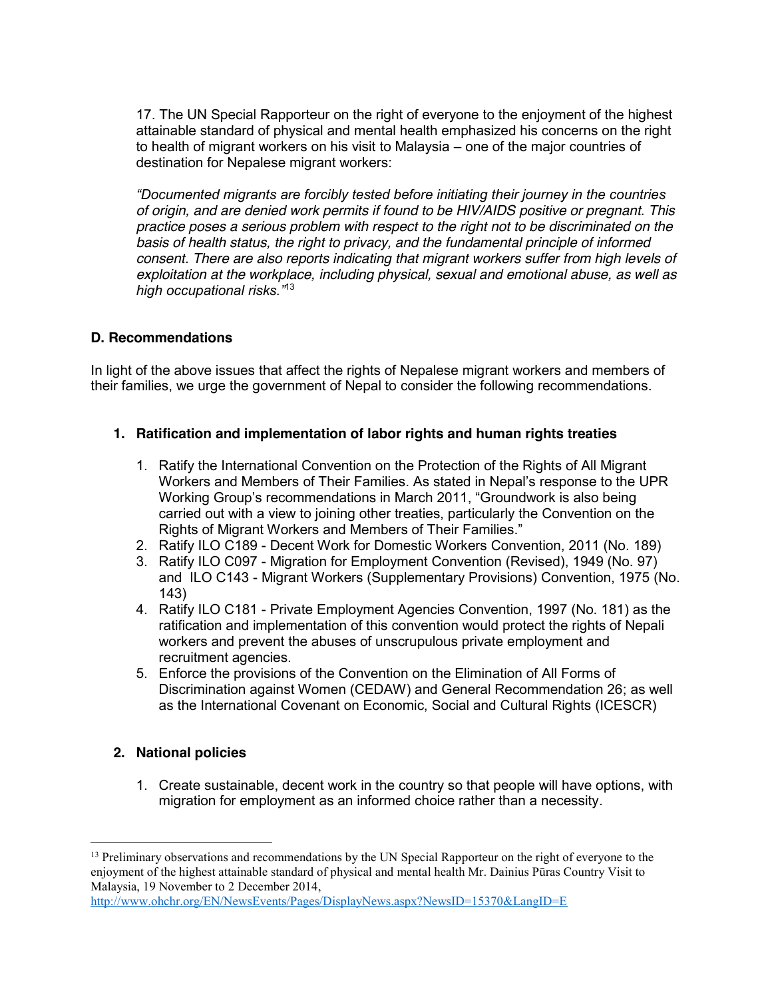17. The UN Special Rapporteur on the right of everyone to the enjoyment of the highest attainable standard of physical and mental health emphasized his concerns on the right to health of migrant workers on his visit to Malaysia – one of the major countries of destination for Nepalese migrant workers:

*"Documented migrants are forcibly tested before initiating their journey in the countries of origin, and are denied work permits if found to be HIV/AIDS positive or pregnant. This practice poses a serious problem with respect to the right not to be discriminated on the basis of health status, the right to privacy, and the fundamental principle of informed consent. There are also reports indicating that migrant workers suffer from high levels of exploitation at the workplace, including physical, sexual and emotional abuse, as well as high occupational risks."*<sup>13</sup>

## **D. Recommendations**

In light of the above issues that affect the rights of Nepalese migrant workers and members of their families, we urge the government of Nepal to consider the following recommendations.

## **1. Ratification and implementation of labor rights and human rights treaties**

- 1. Ratify the International Convention on the Protection of the Rights of All Migrant Workers and Members of Their Families. As stated in Nepal's response to the UPR Working Group's recommendations in March 2011, "Groundwork is also being carried out with a view to joining other treaties, particularly the Convention on the Rights of Migrant Workers and Members of Their Families."
- 2. Ratify ILO C189 Decent Work for Domestic Workers Convention, 2011 (No. 189)
- 3. Ratify ILO C097 Migration for Employment Convention (Revised), 1949 (No. 97) and ILO C143 - Migrant Workers (Supplementary Provisions) Convention, 1975 (No. 143)
- 4. Ratify ILO C181 Private Employment Agencies Convention, 1997 (No. 181) as the ratification and implementation of this convention would protect the rights of Nepali workers and prevent the abuses of unscrupulous private employment and recruitment agencies.
- 5. Enforce the provisions of the Convention on the Elimination of All Forms of Discrimination against Women (CEDAW) and General Recommendation 26; as well as the International Covenant on Economic, Social and Cultural Rights (ICESCR)

# **2. National policies**

1. Create sustainable, decent work in the country so that people will have options, with migration for employment as an informed choice rather than a necessity.

<sup>&</sup>lt;sup>13</sup> Preliminary observations and recommendations by the UN Special Rapporteur on the right of everyone to the enjoyment of the highest attainable standard of physical and mental health Mr. Dainius Pūras Country Visit to Malaysia, 19 November to 2 December 2014,

http://www.ohchr.org/EN/NewsEvents/Pages/DisplayNews.aspx?NewsID=15370&LangID=E